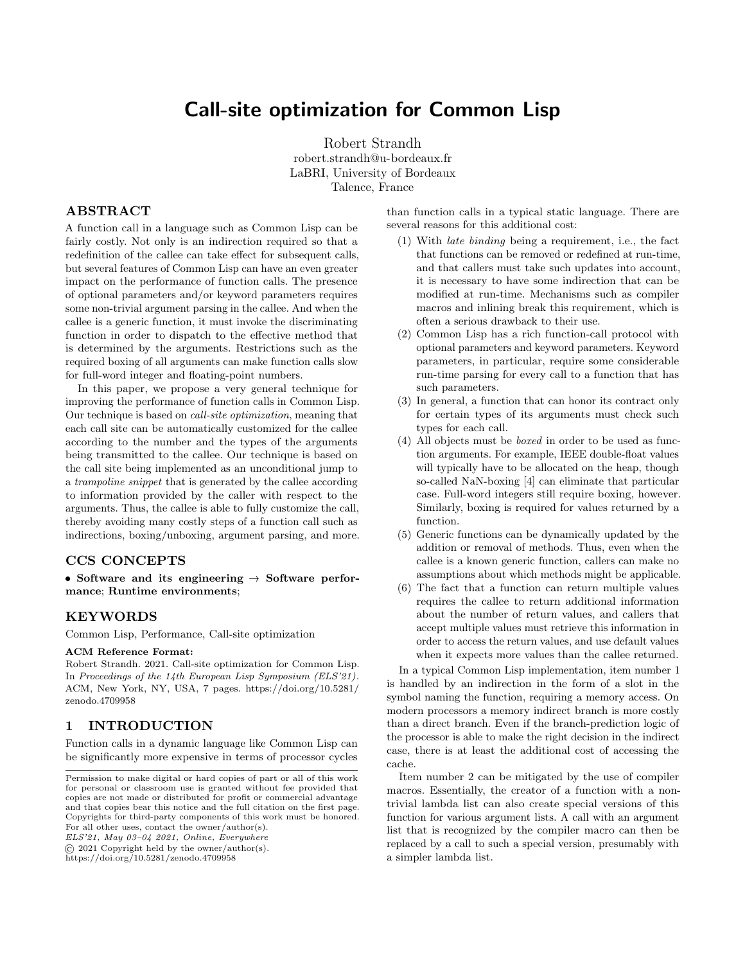# Call-site optimization for Common Lisp

Robert Strandh robert.strandh@u-bordeaux.fr LaBRI, University of Bordeaux Talence, France

# ABSTRACT

A function call in a language such as Common Lisp can be fairly costly. Not only is an indirection required so that a redefinition of the callee can take effect for subsequent calls, but several features of Common Lisp can have an even greater impact on the performance of function calls. The presence of optional parameters and/or keyword parameters requires some non-trivial argument parsing in the callee. And when the callee is a generic function, it must invoke the discriminating function in order to dispatch to the effective method that is determined by the arguments. Restrictions such as the required boxing of all arguments can make function calls slow for full-word integer and floating-point numbers.

In this paper, we propose a very general technique for improving the performance of function calls in Common Lisp. Our technique is based on call-site optimization, meaning that each call site can be automatically customized for the callee according to the number and the types of the arguments being transmitted to the callee. Our technique is based on the call site being implemented as an unconditional jump to a trampoline snippet that is generated by the callee according to information provided by the caller with respect to the arguments. Thus, the callee is able to fully customize the call, thereby avoiding many costly steps of a function call such as indirections, boxing/unboxing, argument parsing, and more.

#### CCS CONCEPTS

• Software and its engineering  $\rightarrow$  Software performance; Runtime environments;

#### KEYWORDS

Common Lisp, Performance, Call-site optimization

#### ACM Reference Format:

Robert Strandh. 2021. Call-site optimization for Common Lisp. In Proceedings of the 14th European Lisp Symposium (ELS'21). ACM, New York, NY, USA, [7](#page-6-0) pages. [https://doi.org/10.5281/](https://doi.org/10.5281/zenodo.4709958) [zenodo.4709958](https://doi.org/10.5281/zenodo.4709958)

#### 1 INTRODUCTION

Function calls in a dynamic language like Common Lisp can be significantly more expensive in terms of processor cycles

ELS'21, May 03–04 2021, Online, Everywhere

© 2021 Copyright held by the owner/author(s).

than function calls in a typical static language. There are several reasons for this additional cost:

- (1) With late binding being a requirement, i.e., the fact that functions can be removed or redefined at run-time, and that callers must take such updates into account, it is necessary to have some indirection that can be modified at run-time. Mechanisms such as compiler macros and inlining break this requirement, which is often a serious drawback to their use.
- (2) Common Lisp has a rich function-call protocol with optional parameters and keyword parameters. Keyword parameters, in particular, require some considerable run-time parsing for every call to a function that has such parameters.
- (3) In general, a function that can honor its contract only for certain types of its arguments must check such types for each call.
- (4) All objects must be boxed in order to be used as function arguments. For example, IEEE double-float values will typically have to be allocated on the heap, though so-called NaN-boxing [\[4\]](#page-6-1) can eliminate that particular case. Full-word integers still require boxing, however. Similarly, boxing is required for values returned by a function.
- (5) Generic functions can be dynamically updated by the addition or removal of methods. Thus, even when the callee is a known generic function, callers can make no assumptions about which methods might be applicable.
- (6) The fact that a function can return multiple values requires the callee to return additional information about the number of return values, and callers that accept multiple values must retrieve this information in order to access the return values, and use default values when it expects more values than the callee returned.

In a typical Common Lisp implementation, item number 1 is handled by an indirection in the form of a slot in the symbol naming the function, requiring a memory access. On modern processors a memory indirect branch is more costly than a direct branch. Even if the branch-prediction logic of the processor is able to make the right decision in the indirect case, there is at least the additional cost of accessing the cache.

Item number 2 can be mitigated by the use of compiler macros. Essentially, the creator of a function with a nontrivial lambda list can also create special versions of this function for various argument lists. A call with an argument list that is recognized by the compiler macro can then be replaced by a call to such a special version, presumably with a simpler lambda list.

Permission to make digital or hard copies of part or all of this work for personal or classroom use is granted without fee provided that copies are not made or distributed for profit or commercial advantage and that copies bear this notice and the full citation on the first page. Copyrights for third-party components of this work must be honored. For all other uses, contact the owner/author(s).

<https://doi.org/10.5281/zenodo.4709958>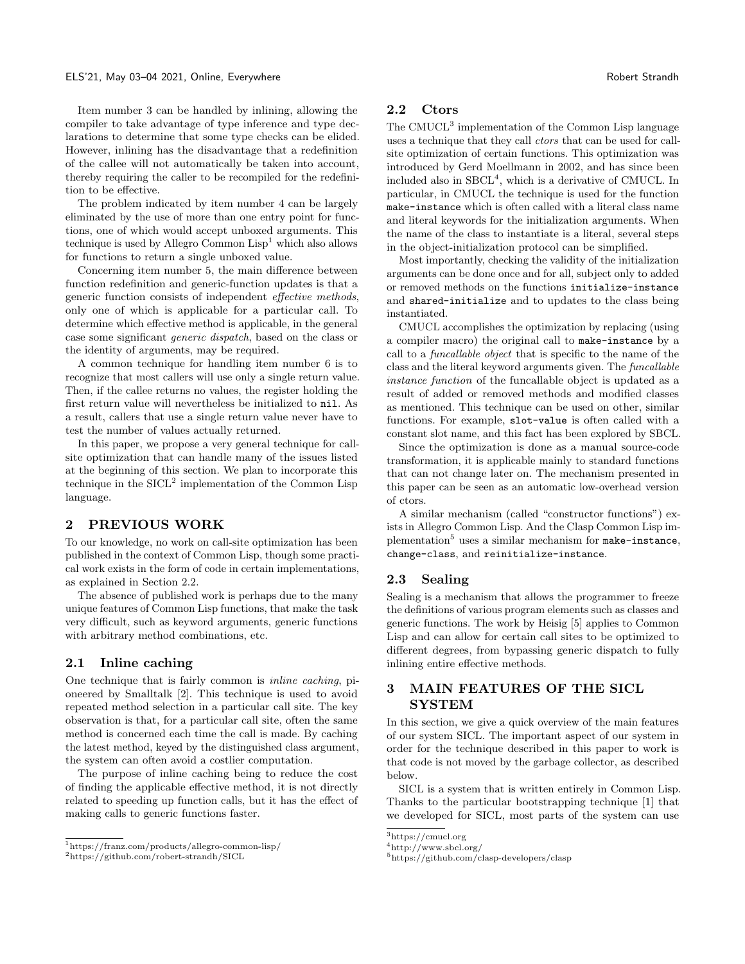Item number 3 can be handled by inlining, allowing the compiler to take advantage of type inference and type declarations to determine that some type checks can be elided. However, inlining has the disadvantage that a redefinition of the callee will not automatically be taken into account, thereby requiring the caller to be recompiled for the redefinition to be effective.

The problem indicated by item number 4 can be largely eliminated by the use of more than one entry point for functions, one of which would accept unboxed arguments. This technique is used by Allegro Common  $\text{Lisp}^1$  $\text{Lisp}^1$  which also allows for functions to return a single unboxed value.

Concerning item number 5, the main difference between function redefinition and generic-function updates is that a generic function consists of independent effective methods, only one of which is applicable for a particular call. To determine which effective method is applicable, in the general case some significant generic dispatch, based on the class or the identity of arguments, may be required.

A common technique for handling item number 6 is to recognize that most callers will use only a single return value. Then, if the callee returns no values, the register holding the first return value will nevertheless be initialized to nil. As a result, callers that use a single return value never have to test the number of values actually returned.

In this paper, we propose a very general technique for callsite optimization that can handle many of the issues listed at the beginning of this section. We plan to incorporate this technique in the  $SICL<sup>2</sup>$  $SICL<sup>2</sup>$  $SICL<sup>2</sup>$  implementation of the Common Lisp language.

### 2 PREVIOUS WORK

To our knowledge, no work on call-site optimization has been published in the context of Common Lisp, though some practical work exists in the form of code in certain implementations, as explained in Section [2.2.](#page-1-2)

The absence of published work is perhaps due to the many unique features of Common Lisp functions, that make the task very difficult, such as keyword arguments, generic functions with arbitrary method combinations, etc.

#### 2.1 Inline caching

One technique that is fairly common is inline caching, pioneered by Smalltalk [\[2\]](#page-6-2). This technique is used to avoid repeated method selection in a particular call site. The key observation is that, for a particular call site, often the same method is concerned each time the call is made. By caching the latest method, keyed by the distinguished class argument, the system can often avoid a costlier computation.

The purpose of inline caching being to reduce the cost of finding the applicable effective method, it is not directly related to speeding up function calls, but it has the effect of making calls to generic functions faster.

#### <span id="page-1-2"></span>2.2 Ctors

The CMUCL<sup>[3](#page-1-3)</sup> implementation of the Common Lisp language uses a technique that they call ctors that can be used for callsite optimization of certain functions. This optimization was introduced by Gerd Moellmann in 2002, and has since been included also in  $SBCL<sup>4</sup>$  $SBCL<sup>4</sup>$  $SBCL<sup>4</sup>$ , which is a derivative of CMUCL. In particular, in CMUCL the technique is used for the function make-instance which is often called with a literal class name and literal keywords for the initialization arguments. When the name of the class to instantiate is a literal, several steps in the object-initialization protocol can be simplified.

Most importantly, checking the validity of the initialization arguments can be done once and for all, subject only to added or removed methods on the functions initialize-instance and shared-initialize and to updates to the class being instantiated.

CMUCL accomplishes the optimization by replacing (using a compiler macro) the original call to make-instance by a call to a funcallable object that is specific to the name of the class and the literal keyword arguments given. The funcallable instance function of the funcallable object is updated as a result of added or removed methods and modified classes as mentioned. This technique can be used on other, similar functions. For example, slot-value is often called with a constant slot name, and this fact has been explored by SBCL.

Since the optimization is done as a manual source-code transformation, it is applicable mainly to standard functions that can not change later on. The mechanism presented in this paper can be seen as an automatic low-overhead version of ctors.

A similar mechanism (called "constructor functions") exists in Allegro Common Lisp. And the Clasp Common Lisp im-plementation<sup>[5](#page-1-5)</sup> uses a similar mechanism for  $\texttt{make-instance}$ , change-class, and reinitialize-instance.

# 2.3 Sealing

Sealing is a mechanism that allows the programmer to freeze the definitions of various program elements such as classes and generic functions. The work by Heisig [\[5\]](#page-6-3) applies to Common Lisp and can allow for certain call sites to be optimized to different degrees, from bypassing generic dispatch to fully inlining entire effective methods.

# <span id="page-1-6"></span>3 MAIN FEATURES OF THE SICL SYSTEM

In this section, we give a quick overview of the main features of our system SICL. The important aspect of our system in order for the technique described in this paper to work is that code is not moved by the garbage collector, as described below.

SICL is a system that is written entirely in Common Lisp. Thanks to the particular bootstrapping technique [\[1\]](#page-6-4) that we developed for SICL, most parts of the system can use

<span id="page-1-0"></span><sup>1</sup>https://franz.com/products/allegro-common-lisp/

<span id="page-1-1"></span> $^2$ https://github.com/robert-strandh/SICL

<span id="page-1-3"></span> $^3$ https://cmucl.org

<span id="page-1-4"></span> $4$ http://www.sbcl.org/

<span id="page-1-5"></span><sup>5</sup>https://github.com/clasp-developers/clasp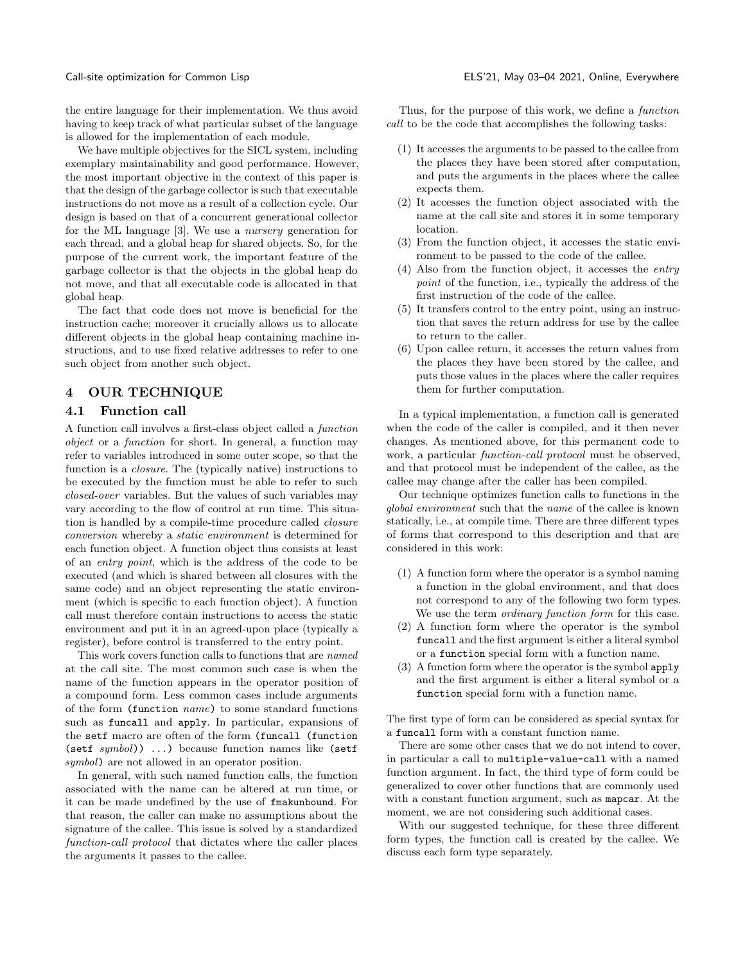the entire language for their implementation. We thus avoid having to keep track of what particular subset of the language is allowed for the implementation of each module.

We have multiple objectives for the SICL system, including exemplary maintainability and good performance. However, the most important objective in the context of this paper is that the design of the garbage collector is such that executable instructions do not move as a result of a collection cycle. Our design is based on that of a concurrent generational collector for the ML language [\[3\]](#page-6-5). We use a nursery generation for each thread, and a global heap for shared objects. So, for the purpose of the current work, the important feature of the garbage collector is that the objects in the global heap do not move, and that all executable code is allocated in that global heap.

The fact that code does not move is beneficial for the instruction cache; moreover it crucially allows us to allocate different objects in the global heap containing machine instructions, and to use fixed relative addresses to refer to one such object from another such object.

### 4 OUR TECHNIQUE

### 4.1 Function call

A function call involves a first-class object called a function object or a function for short. In general, a function may refer to variables introduced in some outer scope, so that the function is a closure. The (typically native) instructions to be executed by the function must be able to refer to such closed-over variables. But the values of such variables may vary according to the flow of control at run time. This situation is handled by a compile-time procedure called closure conversion whereby a static environment is determined for each function object. A function object thus consists at least of an entry point, which is the address of the code to be executed (and which is shared between all closures with the same code) and an object representing the static environment (which is specific to each function object). A function call must therefore contain instructions to access the static environment and put it in an agreed-upon place (typically a register), before control is transferred to the entry point.

This work covers function calls to functions that are named at the call site. The most common such case is when the name of the function appears in the operator position of a compound form. Less common cases include arguments of the form (function name) to some standard functions such as funcall and apply. In particular, expansions of the setf macro are often of the form (funcall (function (setf  $symbol()$ ) ...) because function names like (setf symbol) are not allowed in an operator position.

In general, with such named function calls, the function associated with the name can be altered at run time, or it can be made undefined by the use of fmakunbound. For that reason, the caller can make no assumptions about the signature of the callee. This issue is solved by a standardized function-call protocol that dictates where the caller places the arguments it passes to the callee.

Thus, for the purpose of this work, we define a function call to be the code that accomplishes the following tasks:

- (1) It accesses the arguments to be passed to the callee from the places they have been stored after computation, and puts the arguments in the places where the callee expects them.
- (2) It accesses the function object associated with the name at the call site and stores it in some temporary location.
- (3) From the function object, it accesses the static environment to be passed to the code of the callee.
- (4) Also from the function object, it accesses the entry point of the function, i.e., typically the address of the first instruction of the code of the callee.
- (5) It transfers control to the entry point, using an instruction that saves the return address for use by the callee to return to the caller.
- (6) Upon callee return, it accesses the return values from the places they have been stored by the callee, and puts those values in the places where the caller requires them for further computation.

In a typical implementation, a function call is generated when the code of the caller is compiled, and it then never changes. As mentioned above, for this permanent code to work, a particular function-call protocol must be observed, and that protocol must be independent of the callee, as the callee may change after the caller has been compiled.

Our technique optimizes function calls to functions in the global environment such that the name of the callee is known statically, i.e., at compile time. There are three different types of forms that correspond to this description and that are considered in this work:

- (1) A function form where the operator is a symbol naming a function in the global environment, and that does not correspond to any of the following two form types. We use the term ordinary function form for this case.
- (2) A function form where the operator is the symbol funcall and the first argument is either a literal symbol or a function special form with a function name.
- (3) A function form where the operator is the symbol apply and the first argument is either a literal symbol or a function special form with a function name.

The first type of form can be considered as special syntax for a funcall form with a constant function name.

There are some other cases that we do not intend to cover, in particular a call to multiple-value-call with a named function argument. In fact, the third type of form could be generalized to cover other functions that are commonly used with a constant function argument, such as **mapcar**. At the moment, we are not considering such additional cases.

With our suggested technique, for these three different form types, the function call is created by the callee. We discuss each form type separately.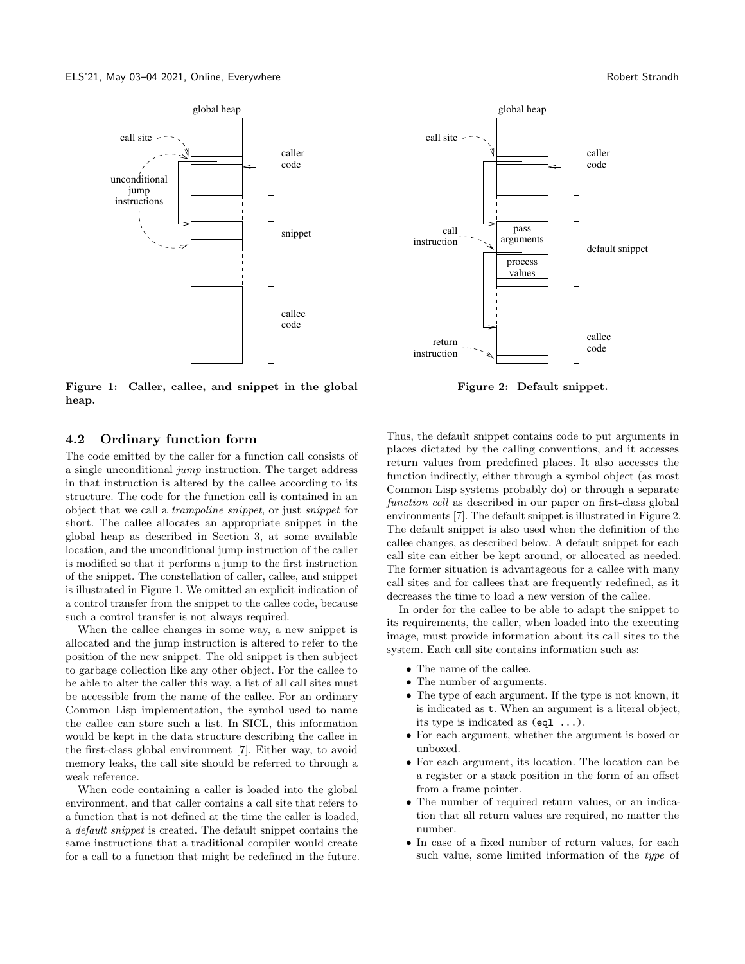<span id="page-3-0"></span>

Figure 1: Caller, callee, and snippet in the global heap.

#### 4.2 Ordinary function form

The code emitted by the caller for a function call consists of a single unconditional jump instruction. The target address in that instruction is altered by the callee according to its structure. The code for the function call is contained in an object that we call a trampoline snippet, or just snippet for short. The callee allocates an appropriate snippet in the global heap as described in Section [3,](#page-1-6) at some available location, and the unconditional jump instruction of the caller is modified so that it performs a jump to the first instruction of the snippet. The constellation of caller, callee, and snippet is illustrated in Figure [1.](#page-3-0) We omitted an explicit indication of a control transfer from the snippet to the callee code, because such a control transfer is not always required.

When the callee changes in some way, a new snippet is allocated and the jump instruction is altered to refer to the position of the new snippet. The old snippet is then subject to garbage collection like any other object. For the callee to be able to alter the caller this way, a list of all call sites must be accessible from the name of the callee. For an ordinary Common Lisp implementation, the symbol used to name the callee can store such a list. In SICL, this information would be kept in the data structure describing the callee in the first-class global environment [\[7\]](#page-6-6). Either way, to avoid memory leaks, the call site should be referred to through a weak reference.

When code containing a caller is loaded into the global environment, and that caller contains a call site that refers to a function that is not defined at the time the caller is loaded, a default snippet is created. The default snippet contains the same instructions that a traditional compiler would create for a call to a function that might be redefined in the future.

<span id="page-3-1"></span>

Figure 2: Default snippet.

Thus, the default snippet contains code to put arguments in places dictated by the calling conventions, and it accesses return values from predefined places. It also accesses the function indirectly, either through a symbol object (as most Common Lisp systems probably do) or through a separate function cell as described in our paper on first-class global environments [\[7\]](#page-6-6). The default snippet is illustrated in Figure [2.](#page-3-1) The default snippet is also used when the definition of the callee changes, as described below. A default snippet for each call site can either be kept around, or allocated as needed. The former situation is advantageous for a callee with many call sites and for callees that are frequently redefined, as it decreases the time to load a new version of the callee.

In order for the callee to be able to adapt the snippet to its requirements, the caller, when loaded into the executing image, must provide information about its call sites to the system. Each call site contains information such as:

- ∙ The name of the callee.
- ∙ The number of arguments.
- ∙ The type of each argument. If the type is not known, it is indicated as t. When an argument is a literal object, its type is indicated as (eql ...).
- ∙ For each argument, whether the argument is boxed or unboxed.
- ∙ For each argument, its location. The location can be a register or a stack position in the form of an offset from a frame pointer.
- ∙ The number of required return values, or an indication that all return values are required, no matter the number.
- ∙ In case of a fixed number of return values, for each such value, some limited information of the type of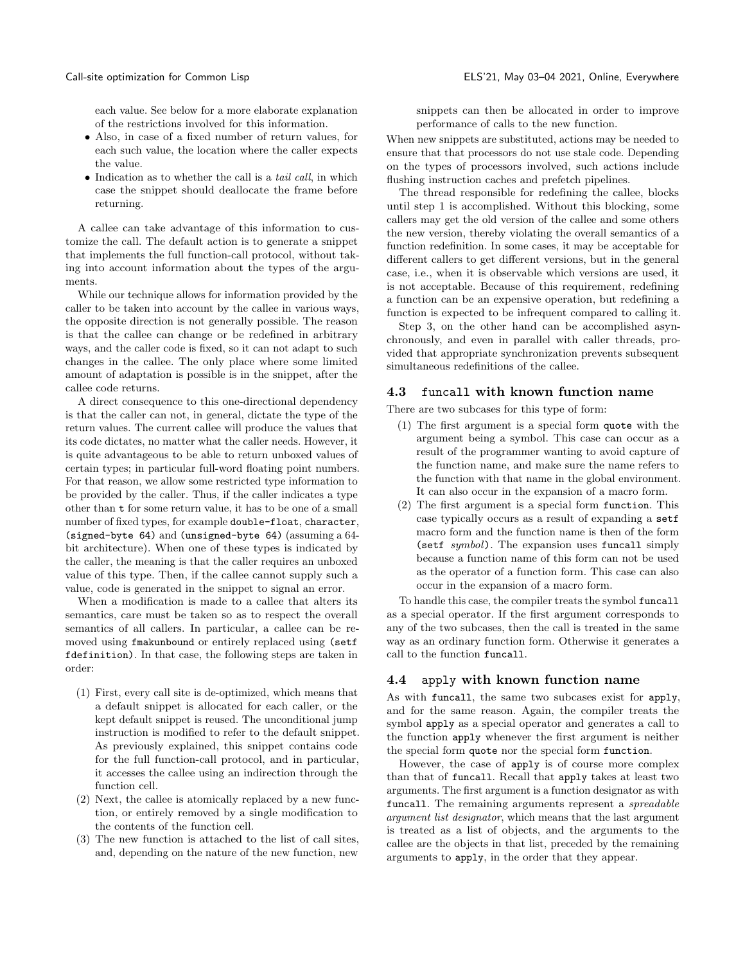each value. See below for a more elaborate explanation of the restrictions involved for this information.

- ∙ Also, in case of a fixed number of return values, for each such value, the location where the caller expects the value.
- ∙ Indication as to whether the call is a tail call, in which case the snippet should deallocate the frame before returning.

A callee can take advantage of this information to customize the call. The default action is to generate a snippet that implements the full function-call protocol, without taking into account information about the types of the arguments.

While our technique allows for information provided by the caller to be taken into account by the callee in various ways, the opposite direction is not generally possible. The reason is that the callee can change or be redefined in arbitrary ways, and the caller code is fixed, so it can not adapt to such changes in the callee. The only place where some limited amount of adaptation is possible is in the snippet, after the callee code returns.

A direct consequence to this one-directional dependency is that the caller can not, in general, dictate the type of the return values. The current callee will produce the values that its code dictates, no matter what the caller needs. However, it is quite advantageous to be able to return unboxed values of certain types; in particular full-word floating point numbers. For that reason, we allow some restricted type information to be provided by the caller. Thus, if the caller indicates a type other than t for some return value, it has to be one of a small number of fixed types, for example double-float, character, (signed-byte 64) and (unsigned-byte 64) (assuming a 64 bit architecture). When one of these types is indicated by the caller, the meaning is that the caller requires an unboxed value of this type. Then, if the callee cannot supply such a value, code is generated in the snippet to signal an error.

When a modification is made to a callee that alters its semantics, care must be taken so as to respect the overall semantics of all callers. In particular, a callee can be removed using fmakunbound or entirely replaced using (setf fdefinition). In that case, the following steps are taken in order:

- (1) First, every call site is de-optimized, which means that a default snippet is allocated for each caller, or the kept default snippet is reused. The unconditional jump instruction is modified to refer to the default snippet. As previously explained, this snippet contains code for the full function-call protocol, and in particular, it accesses the callee using an indirection through the function cell.
- (2) Next, the callee is atomically replaced by a new function, or entirely removed by a single modification to the contents of the function cell.
- (3) The new function is attached to the list of call sites, and, depending on the nature of the new function, new

snippets can then be allocated in order to improve performance of calls to the new function.

When new snippets are substituted, actions may be needed to ensure that that processors do not use stale code. Depending on the types of processors involved, such actions include flushing instruction caches and prefetch pipelines.

The thread responsible for redefining the callee, blocks until step 1 is accomplished. Without this blocking, some callers may get the old version of the callee and some others the new version, thereby violating the overall semantics of a function redefinition. In some cases, it may be acceptable for different callers to get different versions, but in the general case, i.e., when it is observable which versions are used, it is not acceptable. Because of this requirement, redefining a function can be an expensive operation, but redefining a function is expected to be infrequent compared to calling it.

Step 3, on the other hand can be accomplished asynchronously, and even in parallel with caller threads, provided that appropriate synchronization prevents subsequent simultaneous redefinitions of the callee.

#### 4.3 funcall with known function name

There are two subcases for this type of form:

- (1) The first argument is a special form quote with the argument being a symbol. This case can occur as a result of the programmer wanting to avoid capture of the function name, and make sure the name refers to the function with that name in the global environment. It can also occur in the expansion of a macro form.
- (2) The first argument is a special form function. This case typically occurs as a result of expanding a setf macro form and the function name is then of the form (setf symbol). The expansion uses funcall simply because a function name of this form can not be used as the operator of a function form. This case can also occur in the expansion of a macro form.

To handle this case, the compiler treats the symbol funcall as a special operator. If the first argument corresponds to any of the two subcases, then the call is treated in the same way as an ordinary function form. Otherwise it generates a call to the function funcall.

#### 4.4 apply with known function name

As with funcall, the same two subcases exist for apply, and for the same reason. Again, the compiler treats the symbol apply as a special operator and generates a call to the function apply whenever the first argument is neither the special form quote nor the special form function.

However, the case of apply is of course more complex than that of funcall. Recall that apply takes at least two arguments. The first argument is a function designator as with funcall. The remaining arguments represent a spreadable argument list designator, which means that the last argument is treated as a list of objects, and the arguments to the callee are the objects in that list, preceded by the remaining arguments to apply, in the order that they appear.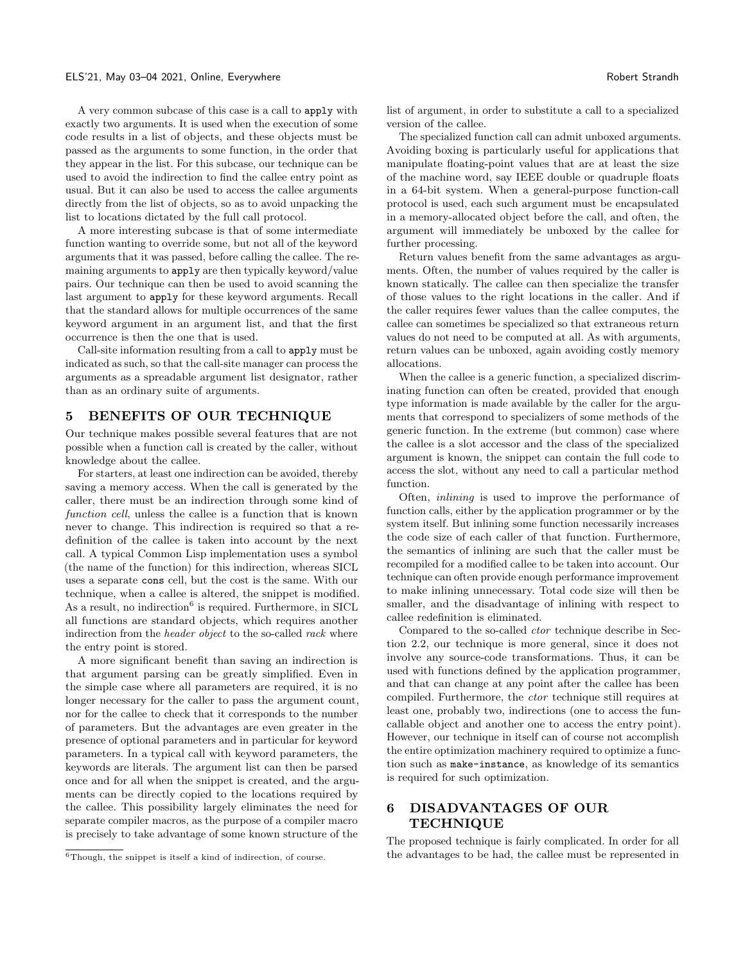A very common subcase of this case is a call to apply with exactly two arguments. It is used when the execution of some code results in a list of objects, and these objects must be passed as the arguments to some function, in the order that they appear in the list. For this subcase, our technique can be used to avoid the indirection to find the callee entry point as usual. But it can also be used to access the callee arguments directly from the list of objects, so as to avoid unpacking the list to locations dictated by the full call protocol.

A more interesting subcase is that of some intermediate function wanting to override some, but not all of the keyword arguments that it was passed, before calling the callee. The remaining arguments to apply are then typically keyword/value pairs. Our technique can then be used to avoid scanning the last argument to apply for these keyword arguments. Recall that the standard allows for multiple occurrences of the same keyword argument in an argument list, and that the first occurrence is then the one that is used.

Call-site information resulting from a call to apply must be indicated as such, so that the call-site manager can process the arguments as a spreadable argument list designator, rather than as an ordinary suite of arguments.

#### 5 BENEFITS OF OUR TECHNIQUE

Our technique makes possible several features that are not possible when a function call is created by the caller, without knowledge about the callee.

For starters, at least one indirection can be avoided, thereby saving a memory access. When the call is generated by the caller, there must be an indirection through some kind of function cell, unless the callee is a function that is known never to change. This indirection is required so that a redefinition of the callee is taken into account by the next call. A typical Common Lisp implementation uses a symbol (the name of the function) for this indirection, whereas SICL uses a separate cons cell, but the cost is the same. With our technique, when a callee is altered, the snippet is modified. As a result, no indirection<sup>[6](#page-5-0)</sup> is required. Furthermore, in SICL all functions are standard objects, which requires another indirection from the *header object* to the so-called *rack* where the entry point is stored.

A more significant benefit than saving an indirection is that argument parsing can be greatly simplified. Even in the simple case where all parameters are required, it is no longer necessary for the caller to pass the argument count, nor for the callee to check that it corresponds to the number of parameters. But the advantages are even greater in the presence of optional parameters and in particular for keyword parameters. In a typical call with keyword parameters, the keywords are literals. The argument list can then be parsed once and for all when the snippet is created, and the arguments can be directly copied to the locations required by the callee. This possibility largely eliminates the need for separate compiler macros, as the purpose of a compiler macro is precisely to take advantage of some known structure of the

list of argument, in order to substitute a call to a specialized version of the callee.

The specialized function call can admit unboxed arguments. Avoiding boxing is particularly useful for applications that manipulate floating-point values that are at least the size of the machine word, say IEEE double or quadruple floats in a 64-bit system. When a general-purpose function-call protocol is used, each such argument must be encapsulated in a memory-allocated object before the call, and often, the argument will immediately be unboxed by the callee for further processing.

Return values benefit from the same advantages as arguments. Often, the number of values required by the caller is known statically. The callee can then specialize the transfer of those values to the right locations in the caller. And if the caller requires fewer values than the callee computes, the callee can sometimes be specialized so that extraneous return values do not need to be computed at all. As with arguments, return values can be unboxed, again avoiding costly memory allocations.

When the callee is a generic function, a specialized discriminating function can often be created, provided that enough type information is made available by the caller for the arguments that correspond to specializers of some methods of the generic function. In the extreme (but common) case where the callee is a slot accessor and the class of the specialized argument is known, the snippet can contain the full code to access the slot, without any need to call a particular method function.

Often, inlining is used to improve the performance of function calls, either by the application programmer or by the system itself. But inlining some function necessarily increases the code size of each caller of that function. Furthermore, the semantics of inlining are such that the caller must be recompiled for a modified callee to be taken into account. Our technique can often provide enough performance improvement to make inlining unnecessary. Total code size will then be smaller, and the disadvantage of inlining with respect to callee redefinition is eliminated.

Compared to the so-called ctor technique describe in Section [2.2,](#page-1-2) our technique is more general, since it does not involve any source-code transformations. Thus, it can be used with functions defined by the application programmer, and that can change at any point after the callee has been compiled. Furthermore, the ctor technique still requires at least one, probably two, indirections (one to access the funcallable object and another one to access the entry point). However, our technique in itself can of course not accomplish the entire optimization machinery required to optimize a function such as make-instance, as knowledge of its semantics is required for such optimization.

# 6 DISADVANTAGES OF OUR TECHNIQUE

The proposed technique is fairly complicated. In order for all the advantages to be had, the callee must be represented in

<span id="page-5-0"></span> $6$ Though, the snippet is itself a kind of indirection, of course.